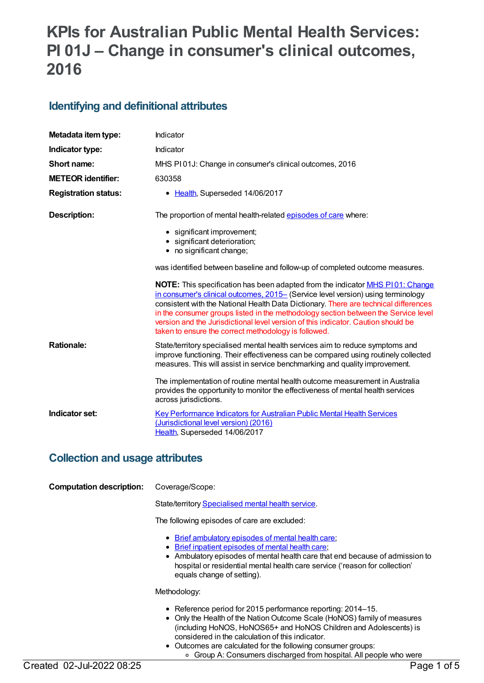# **KPIs for Australian Public Mental Health Services: PI 01J – Change in consumer's clinical outcomes, 2016**

### **Identifying and definitional attributes**

| Metadata item type:         | Indicator                                                                                                                                                                                                                                                                                                                                                                                                                                                                                    |
|-----------------------------|----------------------------------------------------------------------------------------------------------------------------------------------------------------------------------------------------------------------------------------------------------------------------------------------------------------------------------------------------------------------------------------------------------------------------------------------------------------------------------------------|
| Indicator type:             | Indicator                                                                                                                                                                                                                                                                                                                                                                                                                                                                                    |
| Short name:                 | MHS PI01J: Change in consumer's clinical outcomes, 2016                                                                                                                                                                                                                                                                                                                                                                                                                                      |
| <b>METEOR identifier:</b>   | 630358                                                                                                                                                                                                                                                                                                                                                                                                                                                                                       |
| <b>Registration status:</b> | • Health, Superseded 14/06/2017                                                                                                                                                                                                                                                                                                                                                                                                                                                              |
| <b>Description:</b>         | The proportion of mental health-related episodes of care where:                                                                                                                                                                                                                                                                                                                                                                                                                              |
|                             | • significant improvement;                                                                                                                                                                                                                                                                                                                                                                                                                                                                   |
|                             | · significant deterioration;<br>• no significant change;                                                                                                                                                                                                                                                                                                                                                                                                                                     |
|                             |                                                                                                                                                                                                                                                                                                                                                                                                                                                                                              |
|                             | was identified between baseline and follow-up of completed outcome measures.                                                                                                                                                                                                                                                                                                                                                                                                                 |
|                             | NOTE: This specification has been adapted from the indicator MHS P101: Change<br>in consumer's clinical outcomes, 2015- (Service level version) using terminology<br>consistent with the National Health Data Dictionary. There are technical differences<br>in the consumer groups listed in the methodology section between the Service level<br>version and the Jurisdictional level version of this indicator. Caution should be<br>taken to ensure the correct methodology is followed. |
| <b>Rationale:</b>           | State/territory specialised mental health services aim to reduce symptoms and<br>improve functioning. Their effectiveness can be compared using routinely collected<br>measures. This will assist in service benchmarking and quality improvement.                                                                                                                                                                                                                                           |
|                             | The implementation of routine mental health outcome measurement in Australia<br>provides the opportunity to monitor the effectiveness of mental health services<br>across jurisdictions.                                                                                                                                                                                                                                                                                                     |
| Indicator set:              | <b>Key Performance Indicators for Australian Public Mental Health Services</b><br>(Jurisdictional level version) (2016)<br>Health, Superseded 14/06/2017                                                                                                                                                                                                                                                                                                                                     |

### **Collection and usage attributes**

| CONGCLION AND USAGE ALLIDULES   |                                                                                                                                                                                                                                                                                                      |
|---------------------------------|------------------------------------------------------------------------------------------------------------------------------------------------------------------------------------------------------------------------------------------------------------------------------------------------------|
| <b>Computation description:</b> | Coverage/Scope:                                                                                                                                                                                                                                                                                      |
|                                 | State/territory Specialised mental health service.                                                                                                                                                                                                                                                   |
|                                 | The following episodes of care are excluded:                                                                                                                                                                                                                                                         |
|                                 | • Brief ambulatory episodes of mental health care;<br>• Brief inpatient episodes of mental health care:<br>• Ambulatory episodes of mental health care that end because of admission to<br>hospital or residential mental health care service ('reason for collection'<br>equals change of setting). |
|                                 | Methodology:                                                                                                                                                                                                                                                                                         |
|                                 | • Reference period for 2015 performance reporting: 2014–15.<br>• Only the Health of the Nation Outcome Scale (HoNOS) family of measures                                                                                                                                                              |

- (including HoNOS, HoNOS65+ and HoNOS Children and Adolescents) is considered in the calculation of this indicator.
- Outcomes are calculated for the following consumer groups: Group A: Consumers discharged from hospital. All people who were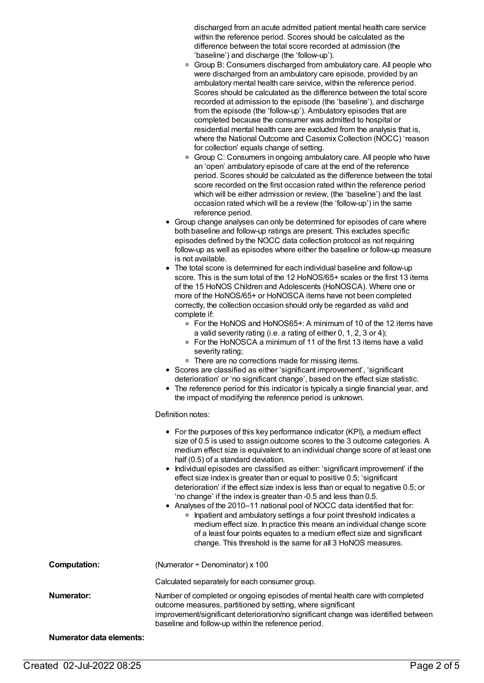discharged from an acute admitted patient mental health care service within the reference period. Scores should be calculated as the difference between the total score recorded at admission (the 'baseline') and discharge (the 'follow-up').

- <sup>o</sup> Group B: Consumers discharged from ambulatory care. All people who were discharged from an ambulatory care episode, provided by an ambulatory mental health care service, within the reference period. Scores should be calculated as the difference between the total score recorded at admission to the episode (the 'baseline'), and discharge from the episode (the 'follow-up'). Ambulatory episodes that are completed because the consumer was admitted to hospital or residential mental health care are excluded from the analysis that is, where the National Outcome and Casemix Collection (NOCC) 'reason for collection' equals change of setting.
- <sup>o</sup> Group C: Consumers in ongoing ambulatory care. All people who have an 'open' ambulatory episode of care at the end of the reference period. Scores should be calculated as the difference between the total score recorded on the first occasion rated within the reference period which will be either admission or review, (the 'baseline') and the last occasion rated which will be a review (the 'follow-up') in the same reference period.
- Group change analyses can only be determined for episodes of care where both baseline and follow-up ratings are present. This excludes specific episodes defined by the NOCC data collection protocol as not requiring follow-up as well as episodes where either the baseline or follow-up measure is not available.
- The total score is determined for each individual baseline and follow-up score. This is the sum total of the 12 HoNOS/65+ scales or the first 13 items of the 15 HoNOS Children and Adolescents (HoNOSCA). Where one or more of the HoNOS/65+ or HoNOSCA items have not been completed correctly, the collection occasion should only be regarded as valid and complete if:
	- For the HoNOS and HoNOS65+: A minimum of 10 of the 12 items have a valid severity rating (i.e. a rating of either 0, 1, 2, 3 or 4);
	- For the HoNOSCA a minimum of 11 of the first 13 items have a valid severity rating;
	- o There are no corrections made for missing items.
- Scores are classified as either 'significant improvement', 'significant deterioration' or 'no significant change', based on the effect size statistic.
- The reference period for this indicator is typically a single financial year, and the impact of modifying the reference period is unknown.

#### Definition notes:

|                                 | • For the purposes of this key performance indicator (KPI), a medium effect<br>size of 0.5 is used to assign outcome scores to the 3 outcome categories. A<br>medium effect size is equivalent to an individual change score of at least one<br>half (0.5) of a standard deviation.<br>• Individual episodes are classified as either: 'significant improvement' if the<br>effect size index is greater than or equal to positive 0.5; 'significant<br>deterioration' if the effect size index is less than or equal to negative 0.5; or<br>'no change' if the index is greater than -0.5 and less than 0.5.<br>• Analyses of the 2010–11 national pool of NOCC data identified that for:<br>Inpatient and ambulatory settings a four point threshold indicates a<br>$\circ$<br>medium effect size. In practice this means an individual change score<br>of a least four points equates to a medium effect size and significant<br>change. This threshold is the same for all 3 HoNOS measures. |
|---------------------------------|-------------------------------------------------------------------------------------------------------------------------------------------------------------------------------------------------------------------------------------------------------------------------------------------------------------------------------------------------------------------------------------------------------------------------------------------------------------------------------------------------------------------------------------------------------------------------------------------------------------------------------------------------------------------------------------------------------------------------------------------------------------------------------------------------------------------------------------------------------------------------------------------------------------------------------------------------------------------------------------------------|
| <b>Computation:</b>             | (Numerator $\div$ Denominator) x 100                                                                                                                                                                                                                                                                                                                                                                                                                                                                                                                                                                                                                                                                                                                                                                                                                                                                                                                                                            |
|                                 | Calculated separately for each consumer group.                                                                                                                                                                                                                                                                                                                                                                                                                                                                                                                                                                                                                                                                                                                                                                                                                                                                                                                                                  |
| Numerator:                      | Number of completed or ongoing episodes of mental health care with completed<br>outcome measures, partitioned by setting, where significant<br>improvement/significant deterioration/no significant change was identified between<br>baseline and follow-up within the reference period.                                                                                                                                                                                                                                                                                                                                                                                                                                                                                                                                                                                                                                                                                                        |
| <b>Numerator data elements:</b> |                                                                                                                                                                                                                                                                                                                                                                                                                                                                                                                                                                                                                                                                                                                                                                                                                                                                                                                                                                                                 |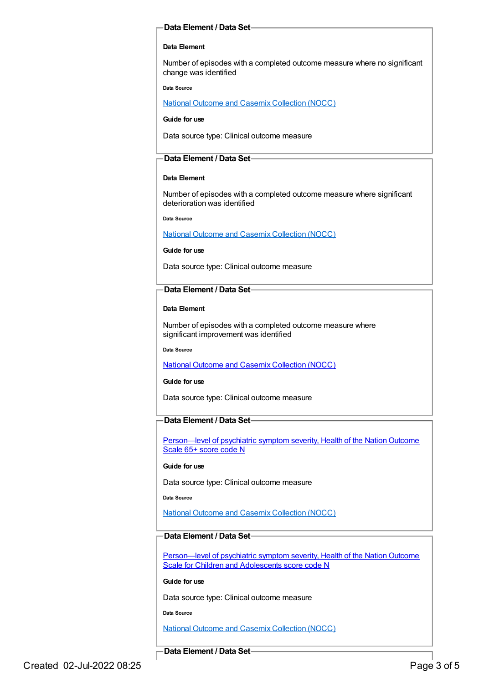#### **Data Element / Data Set**

#### **Data Element**

Number of episodes with a completed outcome measure where no significant change was identified

**Data Source**

National Outcome and Casemix [Collection](file:///content/636931) (NOCC)

**Guide for use**

Data source type: Clinical outcome measure

#### **Data Element / Data Set**

#### **Data Element**

Number of episodes with a completed outcome measure where significant deterioration was identified

**Data Source**

National Outcome and Casemix [Collection](file:///content/636931) (NOCC)

#### **Guide for use**

Data source type: Clinical outcome measure

#### **Data Element / Data Set**

#### **Data Element**

Number of episodes with a completed outcome measure where significant improvement was identified

**Data Source**

National Outcome and Casemix [Collection](file:///content/636931) (NOCC)

#### **Guide for use**

Data source type: Clinical outcome measure

#### **Data Element / Data Set**

Person—level of psychiatric symptom severity, Health of the Nation Outcome Scale 65+ score code N

#### **Guide for use**

Data source type: Clinical outcome measure

**Data Source**

National Outcome and Casemix [Collection](file:///content/636931) (NOCC)

#### **Data Element / Data Set**

Person—level of psychiatric symptom severity, Health of the Nation Outcome Scale for Children and Adolescents score code N

**Guide for use**

Data source type: Clinical outcome measure

**Data Source**

National Outcome and Casemix [Collection](file:///content/636931) (NOCC)

#### **Data Element / Data Set**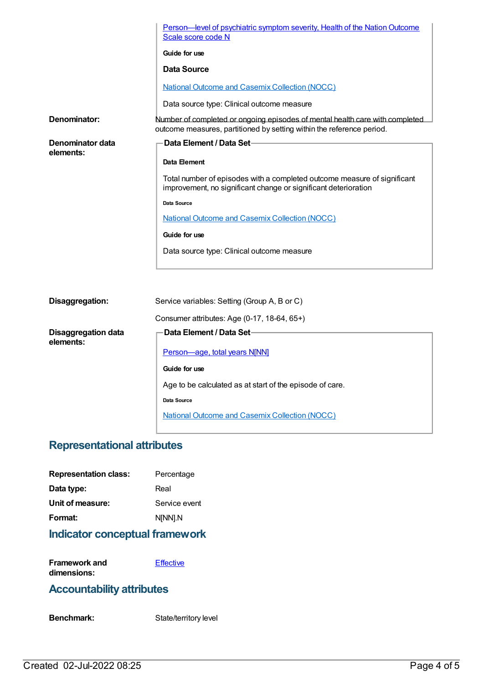|                               | Person—level of psychiatric symptom severity, Health of the Nation Outcome<br>Scale score code N                                                      |
|-------------------------------|-------------------------------------------------------------------------------------------------------------------------------------------------------|
|                               | Guide for use                                                                                                                                         |
|                               | Data Source                                                                                                                                           |
|                               | <b>National Outcome and Casemix Collection (NOCC)</b>                                                                                                 |
|                               | Data source type: Clinical outcome measure                                                                                                            |
| Denominator:                  | Number of completed or ongoing episodes of mental health care with completed<br>outcome measures, partitioned by setting within the reference period. |
| Denominator data<br>elements: | Data Element / Data Set-                                                                                                                              |
|                               | Data Element                                                                                                                                          |
|                               | Total number of episodes with a completed outcome measure of significant<br>improvement, no significant change or significant deterioration           |
|                               | Data Source                                                                                                                                           |
|                               | <b>National Outcome and Casemix Collection (NOCC)</b>                                                                                                 |
|                               | Guide for use                                                                                                                                         |
|                               | Data source type: Clinical outcome measure                                                                                                            |
|                               |                                                                                                                                                       |
|                               |                                                                                                                                                       |
| Disaggregation:               | Service variables: Setting (Group A, B or C)                                                                                                          |
|                               | Consumer attributes: Age $(0.17, 18.64, 65+)$                                                                                                         |

|                                         | Consumer attributes: Age (0-17, 18-64, 65+)              |
|-----------------------------------------|----------------------------------------------------------|
| <b>Disaggregation data</b><br>elements: | ·Data Element / Data Set∙                                |
|                                         | <b>Person-age, total years N[NN]</b>                     |
|                                         | Guide for use                                            |
|                                         | Age to be calculated as at start of the episode of care. |
|                                         | Data Source                                              |
|                                         | <b>National Outcome and Casemix Collection (NOCC)</b>    |

## **Representational attributes**

| <b>Representation class:</b> | Percentage    |
|------------------------------|---------------|
| Data type:                   | Real          |
| Unit of measure:             | Service event |
| Format:                      | N[NN].N       |
|                              |               |

## **Indicator conceptual framework**

| Framework and | Effective |
|---------------|-----------|
| dimensions:   |           |

### **Accountability attributes**

Benchmark: State/territory level